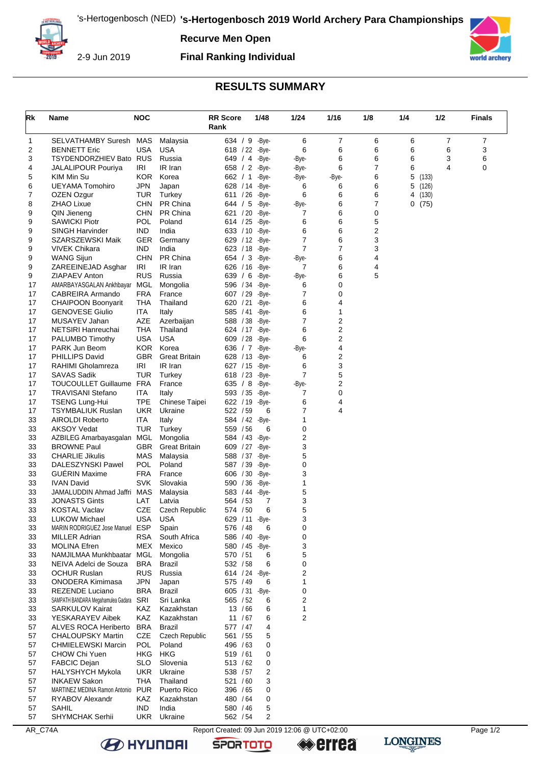

**Recurve Men Open**

2-9 Jun 2019

## **Final Ranking Individual**



## **RESULTS SUMMARY**

| Rk       | Name                                                | <b>NOC</b>               |                                  | <b>RR Score</b><br>Rank     |                    | 1/48                     | 1/24                | 1/16           | 1/8            | 1/4                      | 1/2 | <b>Finals</b> |
|----------|-----------------------------------------------------|--------------------------|----------------------------------|-----------------------------|--------------------|--------------------------|---------------------|----------------|----------------|--------------------------|-----|---------------|
| 1        | SELVATHAMBY Suresh                                  | <b>MAS</b>               | Malaysia                         |                             |                    | 634 / 9 - Bye-           | 6                   | 7              | 6              | 6                        | 7   | 7             |
| 2        | <b>BENNETT Eric</b>                                 | <b>USA</b>               | <b>USA</b>                       | 618 / 22                    |                    | -Bye-                    | 6                   | 6              | 6              | 6                        | 6   | 3             |
| 3        | TSYDENDORZHIEV Bato                                 | <b>RUS</b>               | Russia                           |                             |                    | 649 / 4 - Bye-           | -Bye-               | 6              | 6              | 6                        | 3   | 6             |
| 4        | <b>JALALIPOUR Pouriya</b>                           | IRI                      | IR Iran                          | 658 / 2 -Bye-               |                    |                          | -Bye-               | 6              | $\overline{7}$ | 6                        | 4   | 0             |
| 5        | KIM Min Su                                          | KOR.                     | Korea                            | 662 / 1                     |                    | -Bye-                    | -Bye-               | -Bye-          | 6              | 5<br>(133)               |     |               |
| 6<br>7   | <b>UEYAMA Tomohiro</b><br>OZEN Ozgur                | JPN<br>TUR               | Japan<br>Turkey                  | 628 / 14 - Bye-<br>611 / 26 |                    | -Bye-                    | 6<br>6              | 6<br>6         | 6<br>6         | 5<br>(126)<br>(130)<br>4 |     |               |
| 8        | ZHAO Lixue                                          | <b>CHN</b>               | PR China                         | 644 / 5                     |                    | -Bye-                    | -Bye-               | 6              | 7              | 0(75)                    |     |               |
| 9        | QIN Jieneng                                         | <b>CHN</b>               | PR China                         | 621 / 20                    |                    | -Bye-                    | 7                   | 6              | 0              |                          |     |               |
| 9        | <b>SAWICKI Piotr</b>                                | <b>POL</b>               | Poland                           | 614 / 25                    |                    | -Bye-                    | 6                   | 6              | 5              |                          |     |               |
| 9        | <b>SINGH Harvinder</b>                              | IND                      | India                            | 633 / 10                    |                    | -Bye-                    | 6                   | 6              | 2              |                          |     |               |
| 9        | SZARSZEWSKI Maik                                    | GER                      | Germany                          | 629 / 12 - Bye-             |                    |                          | $\overline{7}$      | 6              | 3              |                          |     |               |
| 9        | VIVEK Chikara                                       | IND                      | India                            | 623 / 18                    |                    | -Bye-                    | 7                   | $\overline{7}$ | 3              |                          |     |               |
| 9        | <b>WANG Sijun</b>                                   | <b>CHN</b>               | PR China                         | 654 / 3                     |                    | -Bye-                    | -Bye-               | 6              | 4              |                          |     |               |
| 9<br>9   | ZAREEINEJAD Asghar<br>ZIAPAEV Anton                 | IRI<br><b>RUS</b>        | IR Iran<br>Russia                | 626 / 16<br>639 / 6         |                    | -Bye-<br>-Bye-           | 7<br>-Bye-          | 6<br>6         | 4<br>5         |                          |     |               |
| 17       | AMARBAYASGALAN Ankhbayar                            | MGL                      | Mongolia                         | 596 / 34 - Bye-             |                    |                          | 6                   | 0              |                |                          |     |               |
| 17       | CABREIRA Armando                                    | <b>FRA</b>               | France                           | 607 / 29                    |                    | -Bye-                    | 7                   | 0              |                |                          |     |               |
| 17       | <b>CHAIPOON Boonyarit</b>                           | THA                      | Thailand                         | 620 / 21                    |                    | -Bye-                    | 6                   | 4              |                |                          |     |               |
| 17       | <b>GENOVESE Giulio</b>                              | <b>ITA</b>               | Italy                            | 585 / 41                    |                    | -Bye-                    | 6                   | 1              |                |                          |     |               |
| 17       | MUSAYEV Jahan                                       | AZE                      | Azerbaijan                       | 588 / 38 - Bye-             |                    |                          | 7                   | 2              |                |                          |     |               |
| 17       | NETSIRI Hanreuchai                                  | THA                      | Thailand                         | 624 / 17 - Bye-             |                    |                          | 6                   | 2              |                |                          |     |               |
| 17       | PALUMBO Timothy                                     | <b>USA</b>               | <b>USA</b>                       | 609 / 28                    |                    | -Bye-                    | 6                   | 2              |                |                          |     |               |
| 17       | PARK Jun Beom                                       | <b>KOR</b>               | Korea                            | 636 / 7                     |                    | -Bye-                    | -Bye-               | 4              |                |                          |     |               |
| 17<br>17 | <b>PHILLIPS David</b>                               | GBR.<br>IRI              | <b>Great Britain</b><br>IR Iran  | 628 / 13                    |                    | -Bye-<br>627 / 15 - Bye- | 6<br>6              | 2<br>3         |                |                          |     |               |
| 17       | RAHIMI Gholamreza<br><b>SAVAS Sadik</b>             | <b>TUR</b>               | Turkey                           | 618 / 23                    |                    | -Bye-                    | $\overline{7}$      | 5              |                |                          |     |               |
| 17       | TOUCOULLET Guillaume FRA                            |                          | France                           | 635 / 8                     |                    | -Bye-                    | -Bye-               | 2              |                |                          |     |               |
| 17       | TRAVISANI Stefano                                   | <b>ITA</b>               | Italy                            | 593 / 35                    |                    | -Bye-                    | 7                   | 0              |                |                          |     |               |
| 17       | <b>TSENG Lung-Hui</b>                               | <b>TPE</b>               | <b>Chinese Taipei</b>            | 622 / 19                    |                    | -Bye-                    | 6                   | 4              |                |                          |     |               |
| 17       | <b>TSYMBALIUK Ruslan</b>                            | <b>UKR</b>               | Ukraine                          | 522 / 59                    |                    | 6                        | 7                   | 4              |                |                          |     |               |
| 33       | <b>AIROLDI Roberto</b>                              | ITA                      | Italy                            |                             |                    | 584 / 42 - Bye-          | 1                   |                |                |                          |     |               |
| 33       | <b>AKSOY Vedat</b>                                  | <b>TUR</b>               | Turkey                           | 559 / 56                    |                    | 6                        | 0                   |                |                |                          |     |               |
| 33       | AZBILEG Amarbayasgalan MGL                          |                          | Mongolia                         | 584 / 43                    |                    | -Bye-                    | 2<br>3              |                |                |                          |     |               |
| 33<br>33 | <b>BROWNE Paul</b><br><b>CHARLIE Jikulis</b>        | GBR<br>MAS               | <b>Great Britain</b><br>Malaysia | 609 / 27<br>588 / 37        |                    | -Bye-<br>-Bye-           | 5                   |                |                |                          |     |               |
| 33       | DALESZYNSKI Pawel                                   | POL                      | Poland                           | 587 / 39                    |                    | -Bye-                    | 0                   |                |                |                          |     |               |
| 33       | <b>GUERIN Maxime</b>                                | FRA                      | France                           | 606 / 30                    |                    | -Bye-                    | 3                   |                |                |                          |     |               |
| 33       | <b>IVAN David</b>                                   | <b>SVK</b>               | Slovakia                         | 590 / 36                    |                    | -Bye-                    | 1                   |                |                |                          |     |               |
| 33       | JAMALUDDIN Ahmad Jaffri MAS                         |                          | Malaysia                         | 583 / 44                    |                    | -Bye-                    | 5                   |                |                |                          |     |               |
| 33       | <b>JONASTS Gints</b>                                | LAT                      | Latvia                           | 564 / 53                    |                    | 7                        | 3                   |                |                |                          |     |               |
| 33       | KOSTAL Vaclav                                       | <b>CZE</b>               | Czech Republic                   | 574 / 50                    |                    | 6                        | 5                   |                |                |                          |     |               |
| 33       | <b>LUKOW Michael</b>                                | <b>USA</b>               | <b>USA</b>                       | 629 / 11                    |                    | -Bye-                    | 3                   |                |                |                          |     |               |
| 33<br>33 | MARIN RODRIGUEZ Jose Manuel<br><b>MILLER Adrian</b> | <b>ESP</b><br><b>RSA</b> | Spain<br>South Africa            | 576 / 48<br>586 / 40        |                    | 6<br>-Bye-               | 0<br>0              |                |                |                          |     |               |
| 33       | <b>MOLINA Efren</b>                                 | MEX                      | Mexico                           |                             |                    | 580 / 45 - Bye-          | 3                   |                |                |                          |     |               |
| 33       | NAMJILMAA Munkhbaatar MGL                           |                          | Mongolia                         | 570 / 51                    |                    | 6                        | 5                   |                |                |                          |     |               |
| 33       | NEIVA Adelci de Souza                               | <b>BRA</b>               | <b>Brazil</b>                    | 532 / 58                    |                    | 6                        | 0                   |                |                |                          |     |               |
| 33       | <b>OCHUR Ruslan</b>                                 | <b>RUS</b>               | Russia                           |                             |                    | 614 / 24 - Bye-          | 2                   |                |                |                          |     |               |
| 33       | ONODERA Kimimasa                                    | <b>JPN</b>               | Japan                            | 575 / 49                    |                    | 6                        | 1                   |                |                |                          |     |               |
| 33       | REZENDE Luciano                                     | <b>BRA</b>               | <b>Brazil</b>                    |                             |                    | 605 / 31 - Bye-          | 0                   |                |                |                          |     |               |
| 33       | SAMPATH BANDARA Megahamulea Gadara                  | SRI                      | Sri Lanka                        | 565 / 52                    |                    | 6                        | 2                   |                |                |                          |     |               |
| 33       | <b>SARKULOV Kairat</b><br>YESKARAYEV Aibek          | KAZ<br>KAZ               | Kazakhstan                       |                             | 13 / 66<br>11 / 67 | 6                        | 1<br>$\overline{2}$ |                |                |                          |     |               |
| 33<br>57 | ALVES ROCA Heriberto                                | <b>BRA</b>               | Kazakhstan<br><b>Brazil</b>      | 577 / 47                    |                    | 6<br>4                   |                     |                |                |                          |     |               |
| 57       | <b>CHALOUPSKY Martin</b>                            | CZE                      | <b>Czech Republic</b>            | 561 / 55                    |                    | 5                        |                     |                |                |                          |     |               |
| 57       | <b>CHMIELEWSKI Marcin</b>                           | <b>POL</b>               | Poland                           | 496 / 63                    |                    | 0                        |                     |                |                |                          |     |               |
| 57       | CHOW Chi Yuen                                       | HKG                      | <b>HKG</b>                       | 519 / 61                    |                    | 0                        |                     |                |                |                          |     |               |
| 57       | FABCIC Dejan                                        | <b>SLO</b>               | Slovenia                         | 513 / 62                    |                    | 0                        |                     |                |                |                          |     |               |
| 57       | HALYSHYCH Mykola                                    | <b>UKR</b>               | Ukraine                          | 538 / 57                    |                    | 2                        |                     |                |                |                          |     |               |
| 57       | <b>INKAEW Sakon</b>                                 | THA                      | Thailand                         | 521 / 60                    |                    | 3                        |                     |                |                |                          |     |               |
| 57       | MARTINEZ MEDINA Ramon Antonio PUR                   |                          | Puerto Rico                      | 396 / 65                    |                    | 0                        |                     |                |                |                          |     |               |
| 57<br>57 | RYABOV Alexandr<br>SAHIL                            | KAZ<br><b>IND</b>        | Kazakhstan<br>India              | 480 / 64<br>580 / 46        |                    | 0<br>5                   |                     |                |                |                          |     |               |
| 57       | SHYMCHAK Serhii                                     | <b>UKR</b>               | Ukraine                          | 562 / 54                    |                    | 2                        |                     |                |                |                          |     |               |
|          |                                                     |                          |                                  |                             |                    |                          |                     |                |                |                          |     |               |

**B** HYUNDAI

**SPORTOTO** 

**errea**